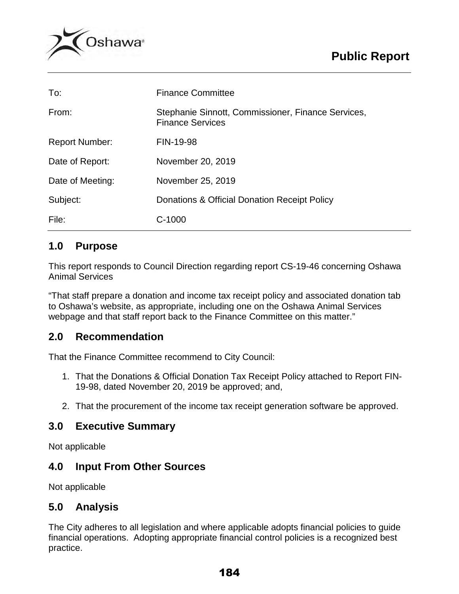

| To:                   | <b>Finance Committee</b>                                                      |
|-----------------------|-------------------------------------------------------------------------------|
| From:                 | Stephanie Sinnott, Commissioner, Finance Services,<br><b>Finance Services</b> |
| <b>Report Number:</b> | FIN-19-98                                                                     |
| Date of Report:       | November 20, 2019                                                             |
| Date of Meeting:      | November 25, 2019                                                             |
| Subject:              | Donations & Official Donation Receipt Policy                                  |
| File:                 | $C-1000$                                                                      |

# **1.0 Purpose**

This report responds to Council Direction regarding report CS-19-46 concerning Oshawa Animal Services

"That staff prepare a donation and income tax receipt policy and associated donation tab to Oshawa's website, as appropriate, including one on the Oshawa Animal Services webpage and that staff report back to the Finance Committee on this matter."

# **2.0 Recommendation**

That the Finance Committee recommend to City Council:

- 1. That the Donations & Official Donation Tax Receipt Policy attached to Report FIN-19-98, dated November 20, 2019 be approved; and,
- 2. That the procurement of the income tax receipt generation software be approved.

# **3.0 Executive Summary**

Not applicable

# **4.0 Input From Other Sources**

Not applicable

# **5.0 Analysis**

The City adheres to all legislation and where applicable adopts financial policies to guide financial operations. Adopting appropriate financial control policies is a recognized best practice.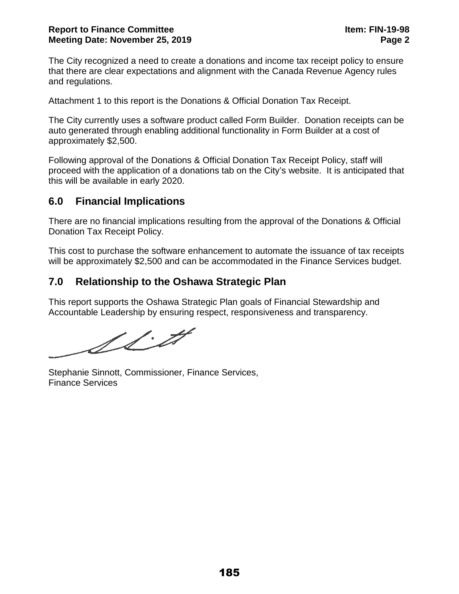The City recognized a need to create a donations and income tax receipt policy to ensure that there are clear expectations and alignment with the Canada Revenue Agency rules and regulations.

Attachment 1 to this report is the Donations & Official Donation Tax Receipt.

The City currently uses a software product called Form Builder. Donation receipts can be auto generated through enabling additional functionality in Form Builder at a cost of approximately \$2,500.

Following approval of the Donations & Official Donation Tax Receipt Policy, staff will proceed with the application of a donations tab on the City's website. It is anticipated that this will be available in early 2020.

# **6.0 Financial Implications**

There are no financial implications resulting from the approval of the Donations & Official Donation Tax Receipt Policy.

This cost to purchase the software enhancement to automate the issuance of tax receipts will be approximately \$2,500 and can be accommodated in the Finance Services budget.

# **7.0 Relationship to the Oshawa Strategic Plan**

This report supports the Oshawa Strategic Plan goals of Financial Stewardship and Accountable Leadership by ensuring respect, responsiveness and transparency.

SSM

Stephanie Sinnott, Commissioner, Finance Services, Finance Services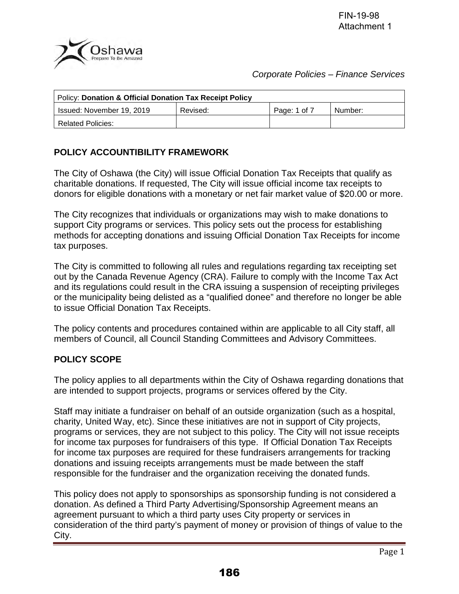

### *Corporate Policies – Finance Services*

| Policy: Donation & Official Donation Tax Receipt Policy |          |              |         |  |  |  |
|---------------------------------------------------------|----------|--------------|---------|--|--|--|
| Issued: November 19, 2019                               | Revised: | Page: 1 of 7 | Number: |  |  |  |
| <b>Related Policies:</b>                                |          |              |         |  |  |  |

# **POLICY ACCOUNTIBILITY FRAMEWORK**

The City of Oshawa (the City) will issue Official Donation Tax Receipts that qualify as charitable donations. If requested, The City will issue official income tax receipts to donors for eligible donations with a monetary or net fair market value of \$20.00 or more.

The City recognizes that individuals or organizations may wish to make donations to support City programs or services. This policy sets out the process for establishing methods for accepting donations and issuing Official Donation Tax Receipts for income tax purposes.

The City is committed to following all rules and regulations regarding tax receipting set out by the Canada Revenue Agency (CRA). Failure to comply with the Income Tax Act and its regulations could result in the CRA issuing a suspension of receipting privileges or the municipality being delisted as a "qualified donee" and therefore no longer be able to issue Official Donation Tax Receipts.

The policy contents and procedures contained within are applicable to all City staff, all members of Council, all Council Standing Committees and Advisory Committees.

# **POLICY SCOPE**

The policy applies to all departments within the City of Oshawa regarding donations that are intended to support projects, programs or services offered by the City.

Staff may initiate a fundraiser on behalf of an outside organization (such as a hospital, charity, United Way, etc). Since these initiatives are not in support of City projects, programs or services, they are not subject to this policy. The City will not issue receipts for income tax purposes for fundraisers of this type. If Official Donation Tax Receipts for income tax purposes are required for these fundraisers arrangements for tracking donations and issuing receipts arrangements must be made between the staff responsible for the fundraiser and the organization receiving the donated funds.

This policy does not apply to sponsorships as sponsorship funding is not considered a donation. As defined a Third Party Advertising/Sponsorship Agreement means an agreement pursuant to which a third party uses City property or services in consideration of the third party's payment of money or provision of things of value to the City.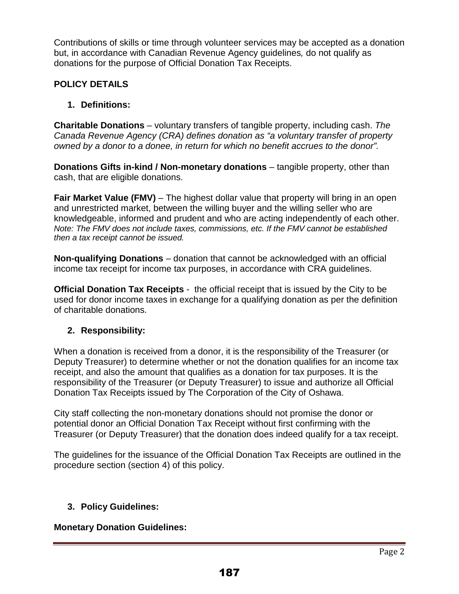Contributions of skills or time through volunteer services may be accepted as a donation but, in accordance with Canadian Revenue Agency guidelines*,* do not qualify as donations for the purpose of Official Donation Tax Receipts.

# **POLICY DETAILS**

# **1. Definitions:**

**Charitable Donations** – voluntary transfers of tangible property, including cash. *The Canada Revenue Agency (CRA) defines donation as "a voluntary transfer of property owned by a donor to a donee, in return for which no benefit accrues to the donor".*

**Donations Gifts in-kind / Non-monetary donations** – tangible property, other than cash, that are eligible donations.

**Fair Market Value (FMV)** – The highest dollar value that property will bring in an open and unrestricted market, between the willing buyer and the willing seller who are knowledgeable, informed and prudent and who are acting independently of each other. *Note: The FMV does not include taxes, commissions, etc. If the FMV cannot be established then a tax receipt cannot be issued.*

**Non-qualifying Donations** – donation that cannot be acknowledged with an official income tax receipt for income tax purposes, in accordance with CRA guidelines.

**Official Donation Tax Receipts** - the official receipt that is issued by the City to be used for donor income taxes in exchange for a qualifying donation as per the definition of charitable donations.

# **2. Responsibility:**

When a donation is received from a donor, it is the responsibility of the Treasurer (or Deputy Treasurer) to determine whether or not the donation qualifies for an income tax receipt, and also the amount that qualifies as a donation for tax purposes. It is the responsibility of the Treasurer (or Deputy Treasurer) to issue and authorize all Official Donation Tax Receipts issued by The Corporation of the City of Oshawa.

City staff collecting the non-monetary donations should not promise the donor or potential donor an Official Donation Tax Receipt without first confirming with the Treasurer (or Deputy Treasurer) that the donation does indeed qualify for a tax receipt.

The guidelines for the issuance of the Official Donation Tax Receipts are outlined in the procedure section (section 4) of this policy.

# **3. Policy Guidelines:**

# **Monetary Donation Guidelines:**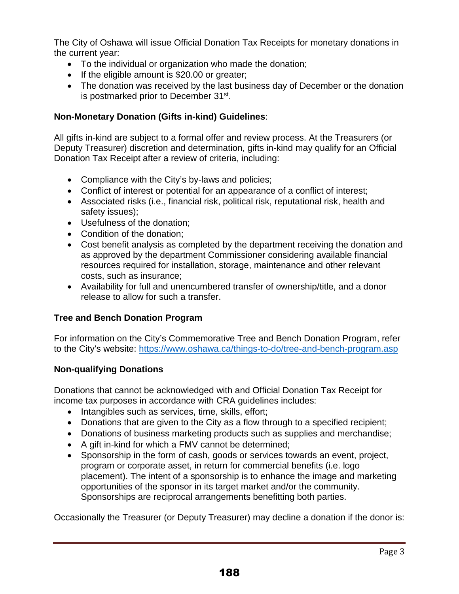The City of Oshawa will issue Official Donation Tax Receipts for monetary donations in the current year:

- To the individual or organization who made the donation;
- If the eligible amount is \$20.00 or greater;
- The donation was received by the last business day of December or the donation is postmarked prior to December 31<sup>st</sup>.

### **Non-Monetary Donation (Gifts in-kind) Guidelines**:

All gifts in-kind are subject to a formal offer and review process. At the Treasurers (or Deputy Treasurer) discretion and determination, gifts in-kind may qualify for an Official Donation Tax Receipt after a review of criteria, including:

- Compliance with the City's by-laws and policies;
- Conflict of interest or potential for an appearance of a conflict of interest;
- Associated risks (i.e., financial risk, political risk, reputational risk, health and safety issues);
- Usefulness of the donation;
- Condition of the donation;
- Cost benefit analysis as completed by the department receiving the donation and as approved by the department Commissioner considering available financial resources required for installation, storage, maintenance and other relevant costs, such as insurance;
- Availability for full and unencumbered transfer of ownership/title, and a donor release to allow for such a transfer.

# **Tree and Bench Donation Program**

For information on the City's Commemorative Tree and Bench Donation Program, refer to the City's website:<https://www.oshawa.ca/things-to-do/tree-and-bench-program.asp>

### **Non-qualifying Donations**

Donations that cannot be acknowledged with and Official Donation Tax Receipt for income tax purposes in accordance with CRA guidelines includes:

- Intangibles such as services, time, skills, effort;
- Donations that are given to the City as a flow through to a specified recipient;
- Donations of business marketing products such as supplies and merchandise;
- A gift in-kind for which a FMV cannot be determined;
- Sponsorship in the form of cash, goods or services towards an event, project, program or corporate asset, in return for commercial benefits (i.e. logo placement). The intent of a sponsorship is to enhance the image and marketing opportunities of the sponsor in its target market and/or the community. Sponsorships are reciprocal arrangements benefitting both parties.

Occasionally the Treasurer (or Deputy Treasurer) may decline a donation if the donor is: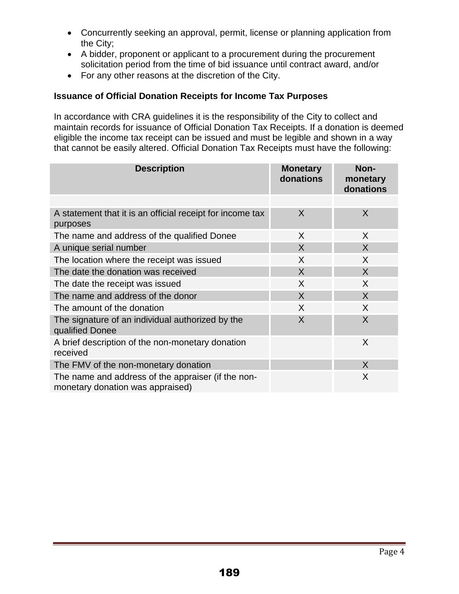- Concurrently seeking an approval, permit, license or planning application from the City;
- A bidder, proponent or applicant to a procurement during the procurement solicitation period from the time of bid issuance until contract award, and/or
- For any other reasons at the discretion of the City.

# **Issuance of Official Donation Receipts for Income Tax Purposes**

In accordance with CRA guidelines it is the responsibility of the City to collect and maintain records for issuance of Official Donation Tax Receipts. If a donation is deemed eligible the income tax receipt can be issued and must be legible and shown in a way that cannot be easily altered. Official Donation Tax Receipts must have the following:

| <b>Description</b>                                                                     | <b>Monetary</b><br>donations | Non-<br>monetary<br>donations |
|----------------------------------------------------------------------------------------|------------------------------|-------------------------------|
|                                                                                        |                              |                               |
| A statement that it is an official receipt for income tax<br>purposes                  | X                            | X                             |
| The name and address of the qualified Donee                                            | X                            | X                             |
| A unique serial number                                                                 | X                            | $\mathsf{X}$                  |
| The location where the receipt was issued                                              | X                            | X                             |
| The date the donation was received                                                     | X                            | $\sf X$                       |
| The date the receipt was issued                                                        | X                            | X                             |
| The name and address of the donor                                                      | X                            | $\sf X$                       |
| The amount of the donation                                                             | X                            | $\sf X$                       |
| The signature of an individual authorized by the<br>qualified Donee                    | X                            | X                             |
| A brief description of the non-monetary donation<br>received                           |                              | X                             |
| The FMV of the non-monetary donation                                                   |                              | X                             |
| The name and address of the appraiser (if the non-<br>monetary donation was appraised) |                              | X                             |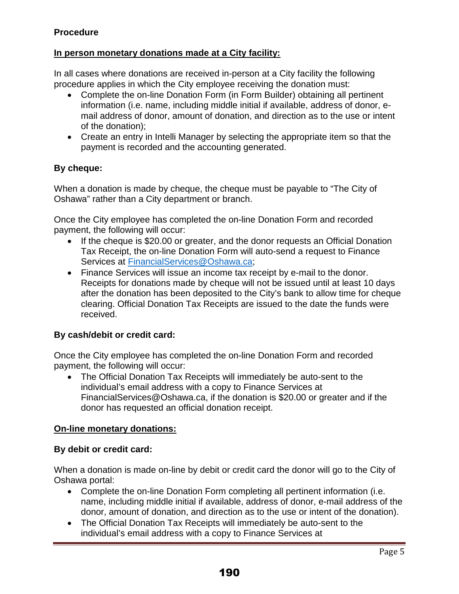# **Procedure**

# **In person monetary donations made at a City facility:**

In all cases where donations are received in-person at a City facility the following procedure applies in which the City employee receiving the donation must:

- Complete the on-line Donation Form (in Form Builder) obtaining all pertinent information (i.e. name, including middle initial if available, address of donor, email address of donor, amount of donation, and direction as to the use or intent of the donation);
- Create an entry in Intelli Manager by selecting the appropriate item so that the payment is recorded and the accounting generated.

### **By cheque:**

When a donation is made by cheque, the cheque must be payable to "The City of Oshawa" rather than a City department or branch.

Once the City employee has completed the on-line Donation Form and recorded payment, the following will occur:

- If the cheque is \$20.00 or greater, and the donor requests an Official Donation Tax Receipt, the on-line Donation Form will auto-send a request to Finance Services at [FinancialServices@Oshawa.ca;](mailto:FinancialServices@Oshawa.ca)
- Finance Services will issue an income tax receipt by e-mail to the donor. Receipts for donations made by cheque will not be issued until at least 10 days after the donation has been deposited to the City's bank to allow time for cheque clearing. Official Donation Tax Receipts are issued to the date the funds were received.

### **By cash/debit or credit card:**

Once the City employee has completed the on-line Donation Form and recorded payment, the following will occur:

• The Official Donation Tax Receipts will immediately be auto-sent to the individual's email address with a copy to Finance Services at FinancialServices@Oshawa.ca, if the donation is \$20.00 or greater and if the donor has requested an official donation receipt.

### **On-line monetary donations:**

### **By debit or credit card:**

When a donation is made on-line by debit or credit card the donor will go to the City of Oshawa portal:

- Complete the on-line Donation Form completing all pertinent information (i.e. name, including middle initial if available, address of donor, e-mail address of the donor, amount of donation, and direction as to the use or intent of the donation).
- The Official Donation Tax Receipts will immediately be auto-sent to the individual's email address with a copy to Finance Services at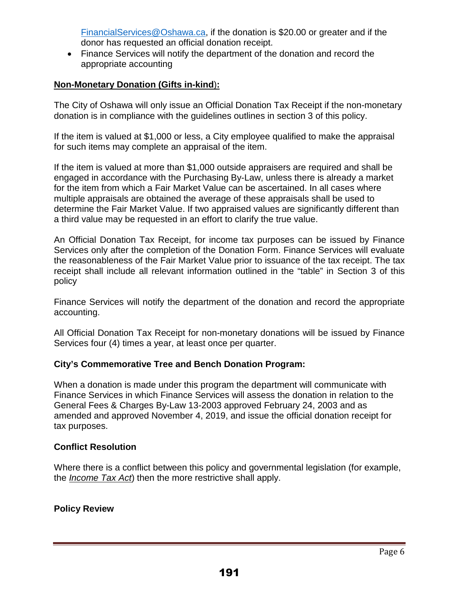[FinancialServices@Oshawa.ca,](mailto:FinancialServices@Oshawa.ca) if the donation is \$20.00 or greater and if the donor has requested an official donation receipt.

• Finance Services will notify the department of the donation and record the appropriate accounting

# **Non-Monetary Donation (Gifts in-kind**)**:**

The City of Oshawa will only issue an Official Donation Tax Receipt if the non-monetary donation is in compliance with the guidelines outlines in section 3 of this policy.

If the item is valued at \$1,000 or less, a City employee qualified to make the appraisal for such items may complete an appraisal of the item.

If the item is valued at more than \$1,000 outside appraisers are required and shall be engaged in accordance with the Purchasing By-Law, unless there is already a market for the item from which a Fair Market Value can be ascertained. In all cases where multiple appraisals are obtained the average of these appraisals shall be used to determine the Fair Market Value. If two appraised values are significantly different than a third value may be requested in an effort to clarify the true value.

An Official Donation Tax Receipt, for income tax purposes can be issued by Finance Services only after the completion of the Donation Form. Finance Services will evaluate the reasonableness of the Fair Market Value prior to issuance of the tax receipt. The tax receipt shall include all relevant information outlined in the "table" in Section 3 of this policy

Finance Services will notify the department of the donation and record the appropriate accounting.

All Official Donation Tax Receipt for non-monetary donations will be issued by Finance Services four (4) times a year, at least once per quarter.

# **City's Commemorative Tree and Bench Donation Program:**

When a donation is made under this program the department will communicate with Finance Services in which Finance Services will assess the donation in relation to the General Fees & Charges By-Law 13-2003 approved February 24, 2003 and as amended and approved November 4, 2019, and issue the official donation receipt for tax purposes.

### **Conflict Resolution**

Where there is a conflict between this policy and governmental legislation (for example, the *Income Tax Act*) then the more restrictive shall apply.

# **Policy Review**